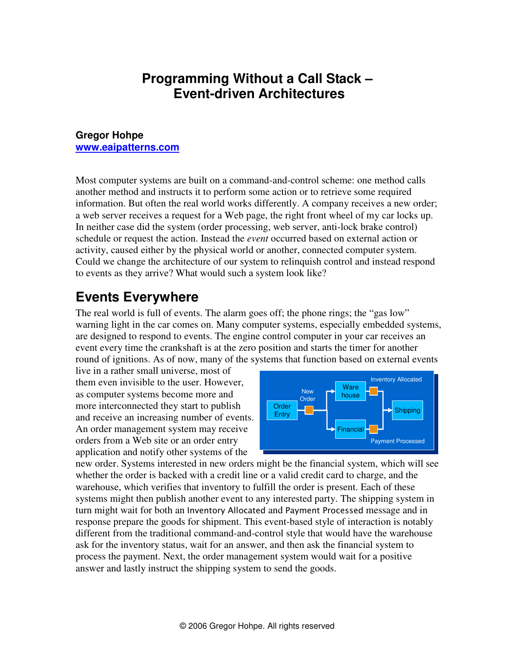#### **Programming Without a Call Stack – Event-driven Architectures**

#### **Gregor Hohpe www.eaipatterns.com**

Most computer systems are built on a command-and-control scheme: one method calls another method and instructs it to perform some action or to retrieve some required information. But often the real world works differently. A company receives a new order; a web server receives a request for a Web page, the right front wheel of my car locks up. In neither case did the system (order processing, web server, anti-lock brake control) schedule or request the action. Instead the *event* occurred based on external action or activity, caused either by the physical world or another, connected computer system. Could we change the architecture of our system to relinquish control and instead respond to events as they arrive? What would such a system look like?

#### **Events Everywhere**

The real world is full of events. The alarm goes off; the phone rings; the "gas low" warning light in the car comes on. Many computer systems, especially embedded systems, are designed to respond to events. The engine control computer in your car receives an event every time the crankshaft is at the zero position and starts the timer for another round of ignitions. As of now, many of the systems that function based on external events

live in a rather small universe, most of them even invisible to the user. However, as computer systems become more and more interconnected they start to publish and receive an increasing number of events. An order management system may receive orders from a Web site or an order entry application and notify other systems of the



new order. Systems interested in new orders might be the financial system, which will see whether the order is backed with a credit line or a valid credit card to charge, and the warehouse, which verifies that inventory to fulfill the order is present. Each of these systems might then publish another event to any interested party. The shipping system in turn might wait for both an Inventory Allocated and Payment Processed message and in response prepare the goods for shipment. This event-based style of interaction is notably different from the traditional command-and-control style that would have the warehouse ask for the inventory status, wait for an answer, and then ask the financial system to process the payment. Next, the order management system would wait for a positive answer and lastly instruct the shipping system to send the goods.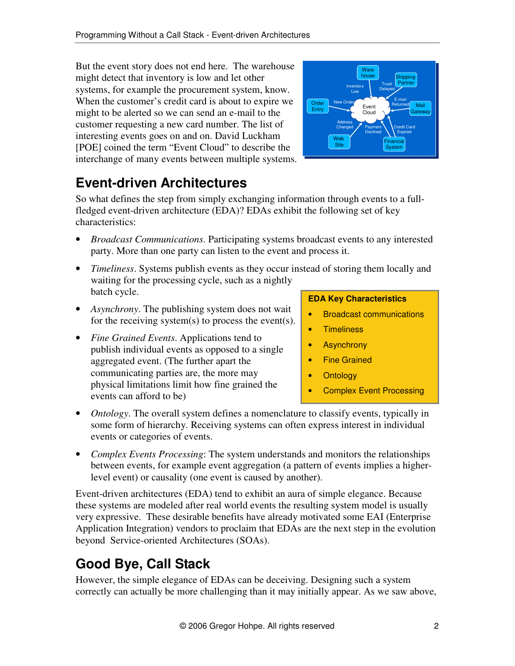But the event story does not end here. The warehouse might detect that inventory is low and let other systems, for example the procurement system, know. When the customer's credit card is about to expire we might to be alerted so we can send an e-mail to the customer requesting a new card number. The list of interesting events goes on and on. David Luckham [POE] coined the term "Event Cloud" to describe the interchange of many events between multiple systems.



# **Event-driven Architectures**

So what defines the step from simply exchanging information through events to a fullfledged event-driven architecture (EDA)? EDAs exhibit the following set of key characteristics:

- *Broadcast Communications*. Participating systems broadcast events to any interested party. More than one party can listen to the event and process it.
- *Timeliness*. Systems publish events as they occur instead of storing them locally and waiting for the processing cycle, such as a nightly batch cycle.
- *Asynchrony*. The publishing system does not wait for the receiving system(s) to process the event(s).
- *Fine Grained Events*. Applications tend to publish individual events as opposed to a single aggregated event. (The further apart the communicating parties are, the more may physical limitations limit how fine grained the events can afford to be)

#### **EDA Key Characteristics**

- Broadcast communications
- **Timeliness**
- Asynchrony
- Fine Grained
- **Ontology**
- Complex Event Processing
- *Ontology*. The overall system defines a nomenclature to classify events, typically in some form of hierarchy. Receiving systems can often express interest in individual events or categories of events.
- *Complex Events Processing*: The system understands and monitors the relationships between events, for example event aggregation (a pattern of events implies a higherlevel event) or causality (one event is caused by another).

Event-driven architectures (EDA) tend to exhibit an aura of simple elegance. Because these systems are modeled after real world events the resulting system model is usually very expressive. These desirable benefits have already motivated some EAI (Enterprise Application Integration) vendors to proclaim that EDAs are the next step in the evolution beyond Service-oriented Architectures (SOAs).

# **Good Bye, Call Stack**

However, the simple elegance of EDAs can be deceiving. Designing such a system correctly can actually be more challenging than it may initially appear. As we saw above,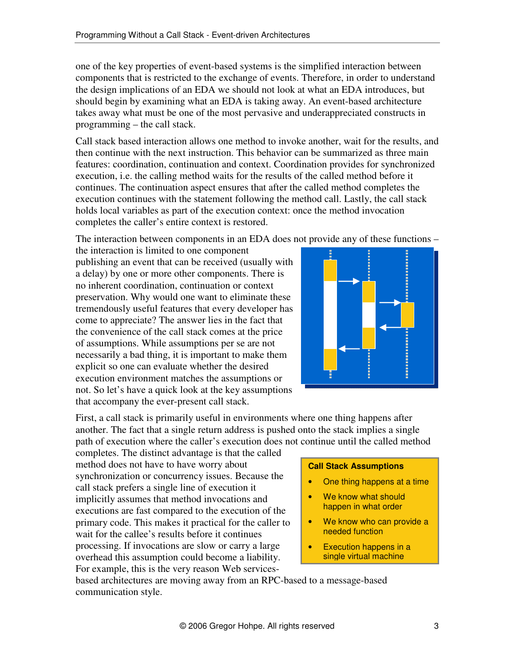one of the key properties of event-based systems is the simplified interaction between components that is restricted to the exchange of events. Therefore, in order to understand the design implications of an EDA we should not look at what an EDA introduces, but should begin by examining what an EDA is taking away. An event-based architecture takes away what must be one of the most pervasive and underappreciated constructs in programming – the call stack.

Call stack based interaction allows one method to invoke another, wait for the results, and then continue with the next instruction. This behavior can be summarized as three main features: coordination, continuation and context. Coordination provides for synchronized execution, i.e. the calling method waits for the results of the called method before it continues. The continuation aspect ensures that after the called method completes the execution continues with the statement following the method call. Lastly, the call stack holds local variables as part of the execution context: once the method invocation completes the caller's entire context is restored.

The interaction between components in an EDA does not provide any of these functions –

the interaction is limited to one component publishing an event that can be received (usually with a delay) by one or more other components. There is no inherent coordination, continuation or context preservation. Why would one want to eliminate these tremendously useful features that every developer has come to appreciate? The answer lies in the fact that the convenience of the call stack comes at the price of assumptions. While assumptions per se are not necessarily a bad thing, it is important to make them explicit so one can evaluate whether the desired execution environment matches the assumptions or not. So let's have a quick look at the key assumptions that accompany the ever-present call stack.



First, a call stack is primarily useful in environments where one thing happens after another. The fact that a single return address is pushed onto the stack implies a single path of execution where the caller's execution does not continue until the called method

completes. The distinct advantage is that the called method does not have to have worry about synchronization or concurrency issues. Because the call stack prefers a single line of execution it implicitly assumes that method invocations and executions are fast compared to the execution of the primary code. This makes it practical for the caller to wait for the callee's results before it continues processing. If invocations are slow or carry a large overhead this assumption could become a liability. For example, this is the very reason Web services-

#### **Call Stack Assumptions**

- One thing happens at a time
- We know what should happen in what order
- We know who can provide a needed function
- Execution happens in a single virtual machine

based architectures are moving away from an RPC-based to a message-based communication style.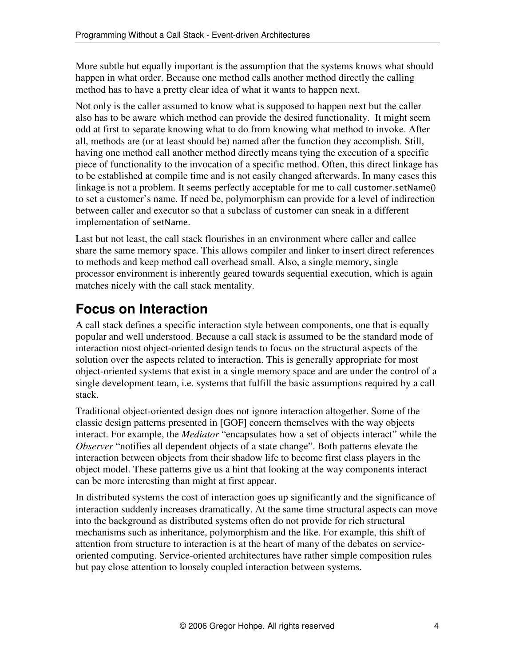More subtle but equally important is the assumption that the systems knows what should happen in what order. Because one method calls another method directly the calling method has to have a pretty clear idea of what it wants to happen next.

Not only is the caller assumed to know what is supposed to happen next but the caller also has to be aware which method can provide the desired functionality. It might seem odd at first to separate knowing what to do from knowing what method to invoke. After all, methods are (or at least should be) named after the function they accomplish. Still, having one method call another method directly means tying the execution of a specific piece of functionality to the invocation of a specific method. Often, this direct linkage has to be established at compile time and is not easily changed afterwards. In many cases this linkage is not a problem. It seems perfectly acceptable for me to call customer.setName() to set a customer's name. If need be, polymorphism can provide for a level of indirection between caller and executor so that a subclass of customer can sneak in a different implementation of setName.

Last but not least, the call stack flourishes in an environment where caller and callee share the same memory space. This allows compiler and linker to insert direct references to methods and keep method call overhead small. Also, a single memory, single processor environment is inherently geared towards sequential execution, which is again matches nicely with the call stack mentality.

# **Focus on Interaction**

A call stack defines a specific interaction style between components, one that is equally popular and well understood. Because a call stack is assumed to be the standard mode of interaction most object-oriented design tends to focus on the structural aspects of the solution over the aspects related to interaction. This is generally appropriate for most object-oriented systems that exist in a single memory space and are under the control of a single development team, i.e. systems that fulfill the basic assumptions required by a call stack.

Traditional object-oriented design does not ignore interaction altogether. Some of the classic design patterns presented in [GOF] concern themselves with the way objects interact. For example, the *Mediator* "encapsulates how a set of objects interact" while the *Observer* "notifies all dependent objects of a state change". Both patterns elevate the interaction between objects from their shadow life to become first class players in the object model. These patterns give us a hint that looking at the way components interact can be more interesting than might at first appear.

In distributed systems the cost of interaction goes up significantly and the significance of interaction suddenly increases dramatically. At the same time structural aspects can move into the background as distributed systems often do not provide for rich structural mechanisms such as inheritance, polymorphism and the like. For example, this shift of attention from structure to interaction is at the heart of many of the debates on serviceoriented computing. Service-oriented architectures have rather simple composition rules but pay close attention to loosely coupled interaction between systems.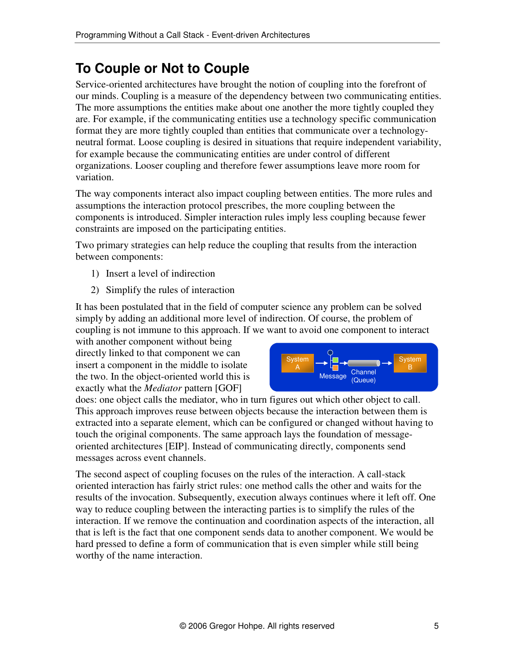### **To Couple or Not to Couple**

Service-oriented architectures have brought the notion of coupling into the forefront of our minds. Coupling is a measure of the dependency between two communicating entities. The more assumptions the entities make about one another the more tightly coupled they are. For example, if the communicating entities use a technology specific communication format they are more tightly coupled than entities that communicate over a technologyneutral format. Loose coupling is desired in situations that require independent variability, for example because the communicating entities are under control of different organizations. Looser coupling and therefore fewer assumptions leave more room for variation.

The way components interact also impact coupling between entities. The more rules and assumptions the interaction protocol prescribes, the more coupling between the components is introduced. Simpler interaction rules imply less coupling because fewer constraints are imposed on the participating entities.

Two primary strategies can help reduce the coupling that results from the interaction between components:

- 1) Insert a level of indirection
- 2) Simplify the rules of interaction

It has been postulated that in the field of computer science any problem can be solved simply by adding an additional more level of indirection. Of course, the problem of coupling is not immune to this approach. If we want to avoid one component to interact

with another component without being directly linked to that component we can insert a component in the middle to isolate the two. In the object-oriented world this is exactly what the *Mediator* pattern [GOF]



does: one object calls the mediator, who in turn figures out which other object to call. This approach improves reuse between objects because the interaction between them is extracted into a separate element, which can be configured or changed without having to touch the original components. The same approach lays the foundation of messageoriented architectures [EIP]. Instead of communicating directly, components send messages across event channels.

The second aspect of coupling focuses on the rules of the interaction. A call-stack oriented interaction has fairly strict rules: one method calls the other and waits for the results of the invocation. Subsequently, execution always continues where it left off. One way to reduce coupling between the interacting parties is to simplify the rules of the interaction. If we remove the continuation and coordination aspects of the interaction, all that is left is the fact that one component sends data to another component. We would be hard pressed to define a form of communication that is even simpler while still being worthy of the name interaction.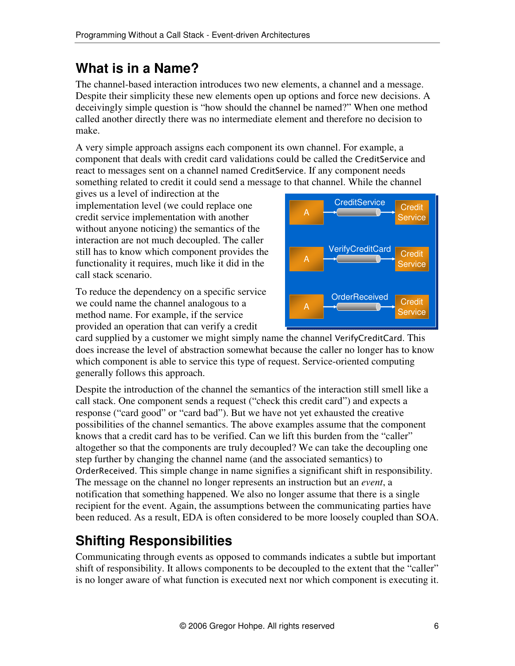#### **What is in a Name?**

The channel-based interaction introduces two new elements, a channel and a message. Despite their simplicity these new elements open up options and force new decisions. A deceivingly simple question is "how should the channel be named?" When one method called another directly there was no intermediate element and therefore no decision to make.

A very simple approach assigns each component its own channel. For example, a component that deals with credit card validations could be called the CreditService and react to messages sent on a channel named CreditService. If any component needs something related to credit it could send a message to that channel. While the channel

gives us a level of indirection at the implementation level (we could replace one credit service implementation with another without anyone noticing) the semantics of the interaction are not much decoupled. The caller still has to know which component provides the functionality it requires, much like it did in the call stack scenario.

To reduce the dependency on a specific service we could name the channel analogous to a method name. For example, if the service provided an operation that can verify a credit



card supplied by a customer we might simply name the channel VerifyCreditCard. This does increase the level of abstraction somewhat because the caller no longer has to know which component is able to service this type of request. Service-oriented computing generally follows this approach.

Despite the introduction of the channel the semantics of the interaction still smell like a call stack. One component sends a request ("check this credit card") and expects a response ("card good" or "card bad"). But we have not yet exhausted the creative possibilities of the channel semantics. The above examples assume that the component knows that a credit card has to be verified. Can we lift this burden from the "caller" altogether so that the components are truly decoupled? We can take the decoupling one step further by changing the channel name (and the associated semantics) to OrderReceived. This simple change in name signifies a significant shift in responsibility. The message on the channel no longer represents an instruction but an *event*, a notification that something happened. We also no longer assume that there is a single recipient for the event. Again, the assumptions between the communicating parties have been reduced. As a result, EDA is often considered to be more loosely coupled than SOA.

# **Shifting Responsibilities**

Communicating through events as opposed to commands indicates a subtle but important shift of responsibility. It allows components to be decoupled to the extent that the "caller" is no longer aware of what function is executed next nor which component is executing it.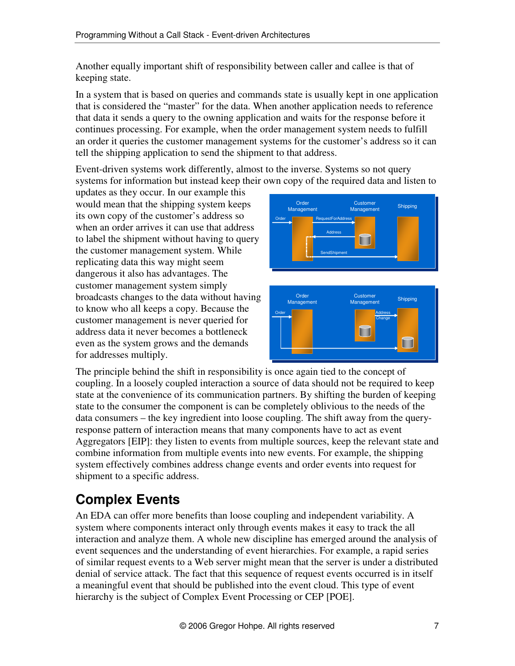Another equally important shift of responsibility between caller and callee is that of keeping state.

In a system that is based on queries and commands state is usually kept in one application that is considered the "master" for the data. When another application needs to reference that data it sends a query to the owning application and waits for the response before it continues processing. For example, when the order management system needs to fulfill an order it queries the customer management systems for the customer's address so it can tell the shipping application to send the shipment to that address.

Event-driven systems work differently, almost to the inverse. Systems so not query systems for information but instead keep their own copy of the required data and listen to

updates as they occur. In our example this would mean that the shipping system keeps its own copy of the customer's address so when an order arrives it can use that address to label the shipment without having to query the customer management system. While replicating data this way might seem dangerous it also has advantages. The customer management system simply broadcasts changes to the data without having to know who all keeps a copy. Because the customer management is never queried for address data it never becomes a bottleneck even as the system grows and the demands for addresses multiply.





The principle behind the shift in responsibility is once again tied to the concept of coupling. In a loosely coupled interaction a source of data should not be required to keep state at the convenience of its communication partners. By shifting the burden of keeping state to the consumer the component is can be completely oblivious to the needs of the data consumers – the key ingredient into loose coupling. The shift away from the queryresponse pattern of interaction means that many components have to act as event Aggregators [EIP]: they listen to events from multiple sources, keep the relevant state and combine information from multiple events into new events. For example, the shipping system effectively combines address change events and order events into request for shipment to a specific address.

# **Complex Events**

An EDA can offer more benefits than loose coupling and independent variability. A system where components interact only through events makes it easy to track the all interaction and analyze them. A whole new discipline has emerged around the analysis of event sequences and the understanding of event hierarchies. For example, a rapid series of similar request events to a Web server might mean that the server is under a distributed denial of service attack. The fact that this sequence of request events occurred is in itself a meaningful event that should be published into the event cloud. This type of event hierarchy is the subject of Complex Event Processing or CEP [POE].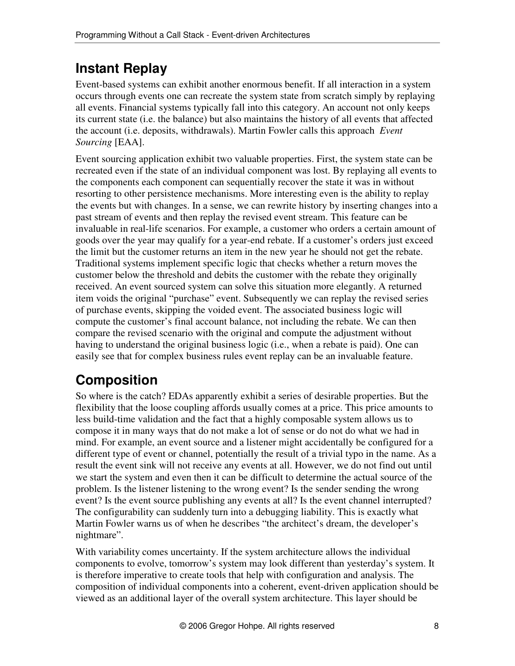## **Instant Replay**

Event-based systems can exhibit another enormous benefit. If all interaction in a system occurs through events one can recreate the system state from scratch simply by replaying all events. Financial systems typically fall into this category. An account not only keeps its current state (i.e. the balance) but also maintains the history of all events that affected the account (i.e. deposits, withdrawals). Martin Fowler calls this approach *Event Sourcing* [EAA].

Event sourcing application exhibit two valuable properties. First, the system state can be recreated even if the state of an individual component was lost. By replaying all events to the components each component can sequentially recover the state it was in without resorting to other persistence mechanisms. More interesting even is the ability to replay the events but with changes. In a sense, we can rewrite history by inserting changes into a past stream of events and then replay the revised event stream. This feature can be invaluable in real-life scenarios. For example, a customer who orders a certain amount of goods over the year may qualify for a year-end rebate. If a customer's orders just exceed the limit but the customer returns an item in the new year he should not get the rebate. Traditional systems implement specific logic that checks whether a return moves the customer below the threshold and debits the customer with the rebate they originally received. An event sourced system can solve this situation more elegantly. A returned item voids the original "purchase" event. Subsequently we can replay the revised series of purchase events, skipping the voided event. The associated business logic will compute the customer's final account balance, not including the rebate. We can then compare the revised scenario with the original and compute the adjustment without having to understand the original business logic (i.e., when a rebate is paid). One can easily see that for complex business rules event replay can be an invaluable feature.

### **Composition**

So where is the catch? EDAs apparently exhibit a series of desirable properties. But the flexibility that the loose coupling affords usually comes at a price. This price amounts to less build-time validation and the fact that a highly composable system allows us to compose it in many ways that do not make a lot of sense or do not do what we had in mind. For example, an event source and a listener might accidentally be configured for a different type of event or channel, potentially the result of a trivial typo in the name. As a result the event sink will not receive any events at all. However, we do not find out until we start the system and even then it can be difficult to determine the actual source of the problem. Is the listener listening to the wrong event? Is the sender sending the wrong event? Is the event source publishing any events at all? Is the event channel interrupted? The configurability can suddenly turn into a debugging liability. This is exactly what Martin Fowler warns us of when he describes "the architect's dream, the developer's nightmare".

With variability comes uncertainty. If the system architecture allows the individual components to evolve, tomorrow's system may look different than yesterday's system. It is therefore imperative to create tools that help with configuration and analysis. The composition of individual components into a coherent, event-driven application should be viewed as an additional layer of the overall system architecture. This layer should be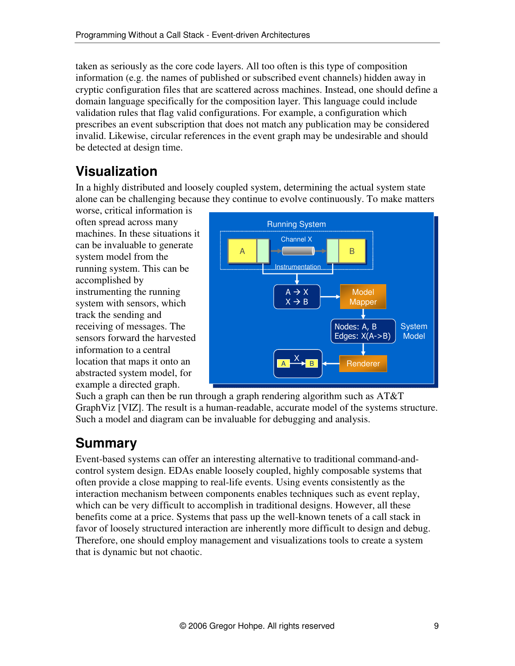taken as seriously as the core code layers. All too often is this type of composition information (e.g. the names of published or subscribed event channels) hidden away in cryptic configuration files that are scattered across machines. Instead, one should define a domain language specifically for the composition layer. This language could include validation rules that flag valid configurations. For example, a configuration which prescribes an event subscription that does not match any publication may be considered invalid. Likewise, circular references in the event graph may be undesirable and should be detected at design time.

## **Visualization**

In a highly distributed and loosely coupled system, determining the actual system state alone can be challenging because they continue to evolve continuously. To make matters

worse, critical information is often spread across many machines. In these situations it can be invaluable to generate system model from the running system. This can be accomplished by instrumenting the running system with sensors, which track the sending and receiving of messages. The sensors forward the harvested information to a central location that maps it onto an abstracted system model, for example a directed graph.



Such a graph can then be run through a graph rendering algorithm such as AT&T GraphViz [VIZ]. The result is a human-readable, accurate model of the systems structure. Such a model and diagram can be invaluable for debugging and analysis.

### **Summary**

Event-based systems can offer an interesting alternative to traditional command-andcontrol system design. EDAs enable loosely coupled, highly composable systems that often provide a close mapping to real-life events. Using events consistently as the interaction mechanism between components enables techniques such as event replay, which can be very difficult to accomplish in traditional designs. However, all these benefits come at a price. Systems that pass up the well-known tenets of a call stack in favor of loosely structured interaction are inherently more difficult to design and debug. Therefore, one should employ management and visualizations tools to create a system that is dynamic but not chaotic.